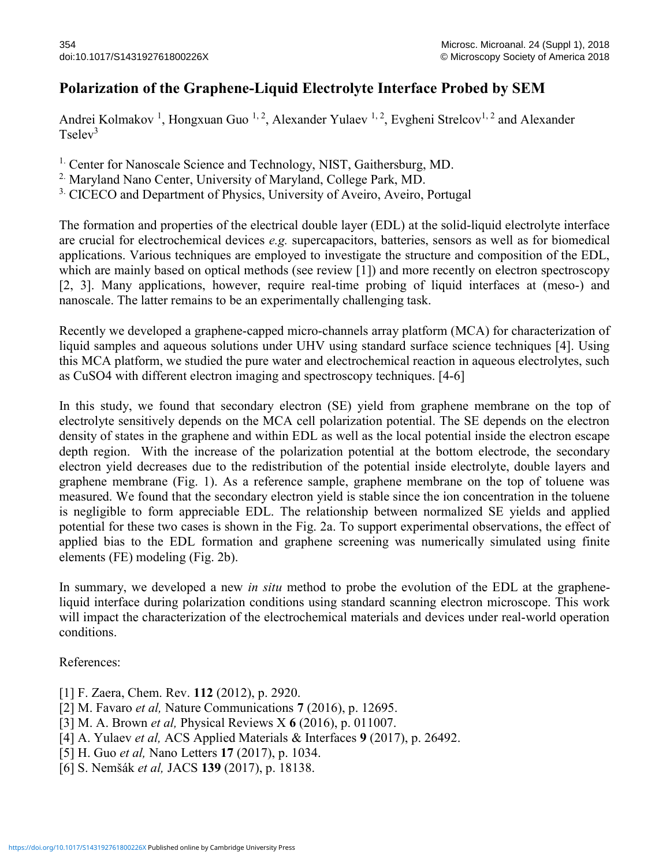## Polarization of the Graphene-Liquid Electrolyte Interface Probed by SEM

Andrei Kolmakov<sup>1</sup>, Hongxuan Guo<sup>1,2</sup>, Alexander Yulaev<sup>1,2</sup>, Evgheni Strelcov<sup>1,2</sup> and Alexander  $T$ selev<sup>3</sup>

<sup>1.</sup> Center for Nanoscale Science and Technology, NIST, Gaithersburg, MD.

<sup>2.</sup> Maryland Nano Center, University of Maryland, College Park, MD.

<sup>3.</sup> CICECO and Department of Physics, University of Aveiro, Aveiro, Portugal

The formation and properties of the electrical double layer (EDL) at the solid-liquid electrolyte interface are crucial for electrochemical devices e.g. supercapacitors, batteries, sensors as well as for biomedical applications. Various techniques are employed to investigate the structure and composition of the EDL, which are mainly based on optical methods (see review [1]) and more recently on electron spectroscopy [2, 3]. Many applications, however, require real-time probing of liquid interfaces at (meso-) and nanoscale. The latter remains to be an experimentally challenging task.

Recently we developed a graphene-capped micro-channels array platform (MCA) for characterization of liquid samples and aqueous solutions under UHV using standard surface science techniques [4]. Using this MCA platform, we studied the pure water and electrochemical reaction in aqueous electrolytes, such as CuSO4 with different electron imaging and spectroscopy techniques. [4-6]

In this study, we found that secondary electron (SE) yield from graphene membrane on the top of electrolyte sensitively depends on the MCA cell polarization potential. The SE depends on the electron density of states in the graphene and within EDL as well as the local potential inside the electron escape depth region. With the increase of the polarization potential at the bottom electrode, the secondary electron yield decreases due to the redistribution of the potential inside electrolyte, double layers and graphene membrane (Fig. 1). As a reference sample, graphene membrane on the top of toluene was measured. We found that the secondary electron yield is stable since the ion concentration in the toluene is negligible to form appreciable EDL. The relationship between normalized SE yields and applied potential for these two cases is shown in the Fig. 2a. To support experimental observations, the effect of applied bias to the EDL formation and graphene screening was numerically simulated using finite elements (FE) modeling (Fig. 2b).

In summary, we developed a new *in situ* method to probe the evolution of the EDL at the grapheneliquid interface during polarization conditions using standard scanning electron microscope. This work will impact the characterization of the electrochemical materials and devices under real-world operation conditions.

References:

- [1] F. Zaera, Chem. Rev. 112 (2012), p. 2920.
- [2] M. Favaro *et al*, Nature Communications 7 (2016), p. 12695.
- [3] M. A. Brown *et al*, Physical Reviews X 6 (2016), p. 011007.
- [4] A. Yulaev et al, ACS Applied Materials & Interfaces 9 (2017), p. 26492.
- [5] H. Guo *et al*, Nano Letters 17 (2017), p. 1034.
- [6] S. Nemšák et al, JACS 139 (2017), p. 18138.